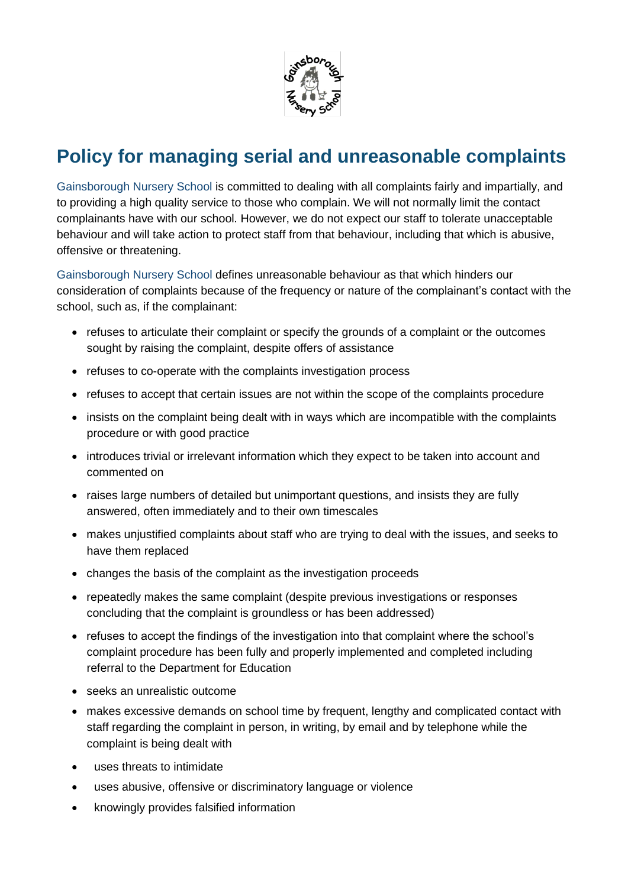

## **Policy for managing serial and unreasonable complaints**

Gainsborough Nursery School is committed to dealing with all complaints fairly and impartially, and to providing a high quality service to those who complain. We will not normally limit the contact complainants have with our school. However, we do not expect our staff to tolerate unacceptable behaviour and will take action to protect staff from that behaviour, including that which is abusive, offensive or threatening.

Gainsborough Nursery School defines unreasonable behaviour as that which hinders our consideration of complaints because of the frequency or nature of the complainant's contact with the school, such as, if the complainant:

- refuses to articulate their complaint or specify the grounds of a complaint or the outcomes sought by raising the complaint, despite offers of assistance
- refuses to co-operate with the complaints investigation process
- refuses to accept that certain issues are not within the scope of the complaints procedure
- insists on the complaint being dealt with in ways which are incompatible with the complaints procedure or with good practice
- introduces trivial or irrelevant information which they expect to be taken into account and commented on
- raises large numbers of detailed but unimportant questions, and insists they are fully answered, often immediately and to their own timescales
- makes unjustified complaints about staff who are trying to deal with the issues, and seeks to have them replaced
- changes the basis of the complaint as the investigation proceeds
- repeatedly makes the same complaint (despite previous investigations or responses concluding that the complaint is groundless or has been addressed)
- refuses to accept the findings of the investigation into that complaint where the school's complaint procedure has been fully and properly implemented and completed including referral to the Department for Education
- seeks an unrealistic outcome
- makes excessive demands on school time by frequent, lengthy and complicated contact with staff regarding the complaint in person, in writing, by email and by telephone while the complaint is being dealt with
- uses threats to intimidate
- uses abusive, offensive or discriminatory language or violence
- knowingly provides falsified information